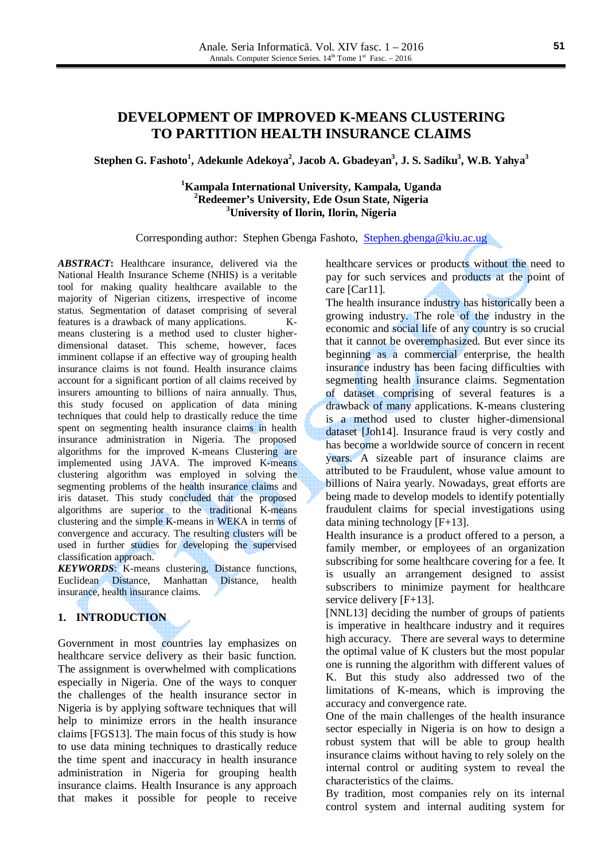**Stephen G. Fashoto<sup>1</sup> , Adekunle Adekoya<sup>2</sup> , Jacob A. Gbadeyan<sup>3</sup> , J. S. Sadiku<sup>3</sup> , W.B. Yahya<sup>3</sup>**

## **<sup>1</sup>Kampala International University, Kampala, Uganda <sup>2</sup>Redeemer's University, Ede Osun State, Nigeria <sup>3</sup>University of Ilorin, Ilorin, Nigeria**

Corresponding author: Stephen Gbenga Fashoto, Stephen.gbenga@kiu.ac.ug

*ABSTRACT***:** Healthcare insurance, delivered via the National Health Insurance Scheme (NHIS) is a veritable tool for making quality healthcare available to the majority of Nigerian citizens, irrespective of income status. Segmentation of dataset comprising of several features is a drawback of many applications. Kmeans clustering is a method used to cluster higherdimensional dataset. This scheme, however, faces imminent collapse if an effective way of grouping health insurance claims is not found. Health insurance claims account for a significant portion of all claims received by insurers amounting to billions of naira annually. Thus, this study focused on application of data mining techniques that could help to drastically reduce the time spent on segmenting health insurance claims in health insurance administration in Nigeria. The proposed algorithms for the improved K-means Clustering are implemented using JAVA. The improved K-means clustering algorithm was employed in solving the segmenting problems of the health insurance claims and iris dataset. This study concluded that the proposed algorithms are superior to the traditional K-means clustering and the simple K-means in WEKA in terms of convergence and accuracy. The resulting clusters will be used in further studies for developing the supervised classification approach.

*KEYWORDS*: K-means clustering, Distance functions, Euclidean Distance, Manhattan Distance, health insurance, health insurance claims.

# **1. INTRODUCTION**

Government in most countries lay emphasizes on healthcare service delivery as their basic function. The assignment is overwhelmed with complications especially in Nigeria. One of the ways to conquer the challenges of the health insurance sector in Nigeria is by applying software techniques that will help to minimize errors in the health insurance claims [FGS13]. The main focus of this study is how to use data mining techniques to drastically reduce the time spent and inaccuracy in health insurance administration in Nigeria for grouping health insurance claims. Health Insurance is any approach that makes it possible for people to receive healthcare services or products without the need to pay for such services and products at the point of care [Car11].

The health insurance industry has historically been a growing industry. The role of the industry in the economic and social life of any country is so crucial that it cannot be overemphasized. But ever since its beginning as a commercial enterprise, the health insurance industry has been facing difficulties with segmenting health insurance claims. Segmentation of dataset comprising of several features is a drawback of many applications. K-means clustering is a method used to cluster higher-dimensional dataset [Joh14]. Insurance fraud is very costly and has become a worldwide source of concern in recent years. A sizeable part of insurance claims are attributed to be Fraudulent, whose value amount to billions of Naira yearly. Nowadays, great efforts are being made to develop models to identify potentially fraudulent claims for special investigations using data mining technology [F+13].

Health insurance is a product offered to a person, a family member, or employees of an organization subscribing for some healthcare covering for a fee. It is usually an arrangement designed to assist subscribers to minimize payment for healthcare service delivery [F+13].

[NNL13] deciding the number of groups of patients is imperative in healthcare industry and it requires high accuracy. There are several ways to determine the optimal value of K clusters but the most popular one is running the algorithm with different values of K. But this study also addressed two of the limitations of K-means, which is improving the accuracy and convergence rate.

One of the main challenges of the health insurance sector especially in Nigeria is on how to design a robust system that will be able to group health insurance claims without having to rely solely on the internal control or auditing system to reveal the characteristics of the claims.

By tradition, most companies rely on its internal control system and internal auditing system for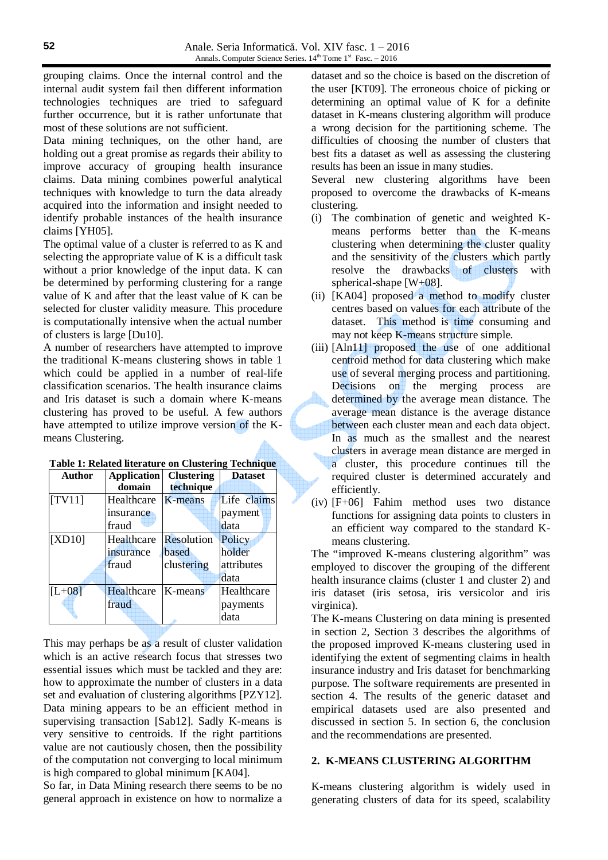grouping claims. Once the internal control and the internal audit system fail then different information technologies techniques are tried to safeguard further occurrence, but it is rather unfortunate that most of these solutions are not sufficient.

Data mining techniques, on the other hand, are holding out a great promise as regards their ability to improve accuracy of grouping health insurance claims. Data mining combines powerful analytical techniques with knowledge to turn the data already acquired into the information and insight needed to identify probable instances of the health insurance claims [YH05].

The optimal value of a cluster is referred to as K and selecting the appropriate value of K is a difficult task without a prior knowledge of the input data. K can be determined by performing clustering for a range value of K and after that the least value of K can be selected for cluster validity measure. This procedure is computationally intensive when the actual number of clusters is large [Du10].

A number of researchers have attempted to improve the traditional K-means clustering shows in table 1 which could be applied in a number of real-life classification scenarios. The health insurance claims and Iris dataset is such a domain where K-means clustering has proved to be useful. A few authors have attempted to utilize improve version of the Kmeans Clustering.

| Author   | <b>Application</b> | <b>Clustering</b> | <b>Dataset</b> |
|----------|--------------------|-------------------|----------------|
|          | domain             | technique         |                |
| [TV11]   | Healthcare         | K-means           | Life claims    |
|          | insurance          |                   | payment        |
|          | fraud              |                   | data           |
| [XD10]   | Healthcare         | <b>Resolution</b> | Policy         |
|          | insurance          | based             | holder         |
|          | fraud              | clustering        | attributes     |
|          |                    |                   | data           |
| $[L+08]$ | Healthcare         | K-means           | Healthcare     |
|          | fraud              |                   | payments       |
|          |                    |                   | data           |

| <b>Table 1: Related literature on Clustering Technique</b> |  |  |
|------------------------------------------------------------|--|--|
|------------------------------------------------------------|--|--|

This may perhaps be as a result of cluster validation which is an active research focus that stresses two essential issues which must be tackled and they are: how to approximate the number of clusters in a data set and evaluation of clustering algorithms [PZY12]. Data mining appears to be an efficient method in supervising transaction [Sab12]. Sadly K-means is very sensitive to centroids. If the right partitions value are not cautiously chosen, then the possibility of the computation not converging to local minimum is high compared to global minimum [KA04].

So far, in Data Mining research there seems to be no general approach in existence on how to normalize a

dataset and so the choice is based on the discretion of the user [KT09]. The erroneous choice of picking or determining an optimal value of K for a definite dataset in K-means clustering algorithm will produce a wrong decision for the partitioning scheme. The difficulties of choosing the number of clusters that best fits a dataset as well as assessing the clustering results has been an issue in many studies.

Several new clustering algorithms have been proposed to overcome the drawbacks of K-means clustering.

- (i) The combination of genetic and weighted Kmeans performs better than the K-means clustering when determining the cluster quality and the sensitivity of the clusters which partly resolve the drawbacks of clusters with spherical-shape  $[W+08]$ .
- (ii) [KA04] proposed a method to modify cluster centres based on values for each attribute of the dataset. This method is time consuming and may not keep K-means structure simple.
- (iii) [Aln11] proposed the use of one additional centroid method for data clustering which make use of several merging process and partitioning. Decisions on the merging process are determined by the average mean distance. The average mean distance is the average distance between each cluster mean and each data object. In as much as the smallest and the nearest clusters in average mean distance are merged in a cluster, this procedure continues till the required cluster is determined accurately and efficiently.
- (iv) [F+06] Fahim method uses two distance functions for assigning data points to clusters in an efficient way compared to the standard Kmeans clustering.

The "improved K-means clustering algorithm" was employed to discover the grouping of the different health insurance claims (cluster 1 and cluster 2) and iris dataset (iris setosa, iris versicolor and iris virginica).

The K-means Clustering on data mining is presented in section 2, Section 3 describes the algorithms of the proposed improved K-means clustering used in identifying the extent of segmenting claims in health insurance industry and Iris dataset for benchmarking purpose. The software requirements are presented in section 4. The results of the generic dataset and empirical datasets used are also presented and discussed in section 5. In section 6, the conclusion and the recommendations are presented.

## **2. K-MEANS CLUSTERING ALGORITHM**

K-means clustering algorithm is widely used in generating clusters of data for its speed, scalability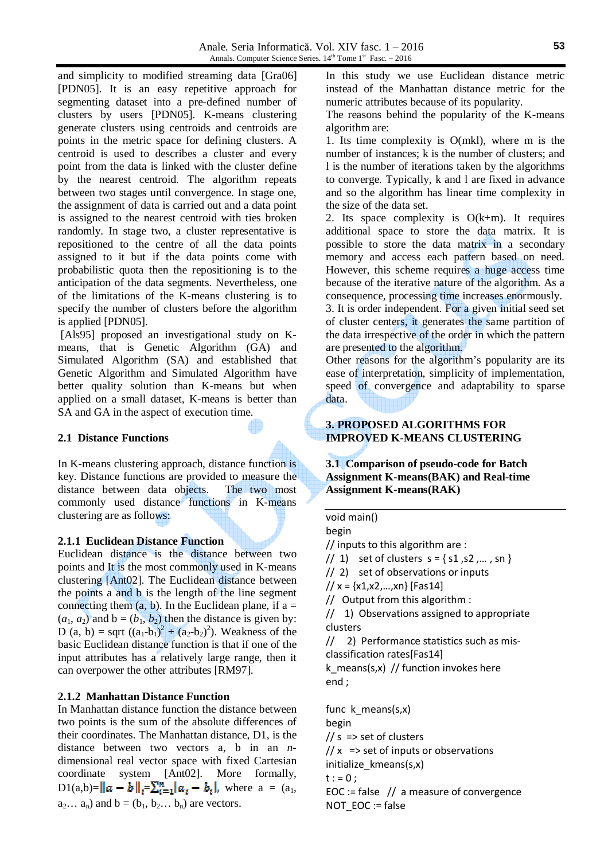and simplicity to modified streaming data [Gra06] [PDN05]. It is an easy repetitive approach for segmenting dataset into a pre-defined number of clusters by users [PDN05]. K-means clustering generate clusters using centroids and centroids are points in the metric space for defining clusters. A centroid is used to describes a cluster and every point from the data is linked with the cluster define by the nearest centroid. The algorithm repeats between two stages until convergence. In stage one, the assignment of data is carried out and a data point is assigned to the nearest centroid with ties broken randomly. In stage two, a cluster representative is repositioned to the centre of all the data points assigned to it but if the data points come with probabilistic quota then the repositioning is to the anticipation of the data segments. Nevertheless, one of the limitations of the K-means clustering is to specify the number of clusters before the algorithm is applied [PDN05].

 [Als95] proposed an investigational study on Kmeans, that is Genetic Algorithm (GA) and Simulated Algorithm (SA) and established that Genetic Algorithm and Simulated Algorithm have better quality solution than K-means but when applied on a small dataset, K-means is better than SA and GA in the aspect of execution time.

#### **2.1 Distance Functions**

In K-means clustering approach, distance function is key. Distance functions are provided to measure the distance between data objects. The two most commonly used distance functions in K-means clustering are as follows:

### **2.1.1 Euclidean Distance Function**

Euclidean distance is the distance between two points and It is the most commonly used in K-means clustering [Ant02]. The Euclidean distance between the points a and b is the length of the line segment connecting them  $(a, b)$ . In the Euclidean plane, if  $a =$  $(a_1, a_2)$  and  $b = (b_1, b_2)$  then the distance is given by: D (a, b) = sqrt  $((a_1-b_1)^2 + (a_2-b_2)^2)$ . Weakness of the basic Euclidean distance function is that if one of the input attributes has a relatively large range, then it can overpower the other attributes [RM97].

## **2.1.2 Manhattan Distance Function**

In Manhattan distance function the distance between two points is the sum of the absolute differences of their coordinates. The Manhattan distance, D1, is the distance between two vectors a, b in an *n*dimensional real vector space with fixed Cartesian coordinate system [Ant02]. More formally,  $D_1(a,b)= ||a-b||_i = \sum_{i=1}^n |a_i-b_i|$ , where  $a = (a_1, a_2)$  $a_2... a_n$ ) and  $b = (b_1, b_2... b_n)$  are vectors.

In this study we use Euclidean distance metric instead of the Manhattan distance metric for the numeric attributes because of its popularity.

The reasons behind the popularity of the K-means algorithm are:

1. Its time complexity is O(mkl), where m is the number of instances; k is the number of clusters; and l is the number of iterations taken by the algorithms to converge. Typically, k and l are fixed in advance and so the algorithm has linear time complexity in the size of the data set.

2. Its space complexity is  $O(k+m)$ . It requires additional space to store the data matrix. It is possible to store the data matrix in a secondary memory and access each pattern based on need. However, this scheme requires a huge access time because of the iterative nature of the algorithm. As a consequence, processing time increases enormously.

3. It is order independent. For a given initial seed set of cluster centers, it generates the same partition of the data irrespective of the order in which the pattern are presented to the algorithm.

Other reasons for the algorithm's popularity are its ease of interpretation, simplicity of implementation, speed of convergence and adaptability to sparse data.

# **3. PROPOSED ALGORITHMS FOR IMPROVED K-MEANS CLUSTERING**

**3.1 Comparison of pseudo-code for Batch Assignment K-means(BAK) and Real-time Assignment K-means(RAK)** 

#### void main() begin

// inputs to this algorithm are :

 $// 1)$  set of clusters  $s = \{ s1, s2, ..., sn \}$ 

// 2) set of observations or inputs

 $// x = {x1, x2, ..., xn}$  [Fas14]

// Output from this algorithm :

// 1) Observations assigned to appropriate clusters

// 2) Performance statistics such as misclassification rates[Fas14]

k means(s,x) // function invokes here end ;

func k means(s,x) begin  $1/s$  => set of clusters  $// x$  => set of inputs or observations initialize kmeans(s,x)  $t := 0;$ EOC := false  $//$  a measure of convergence

NOT\_EOC := false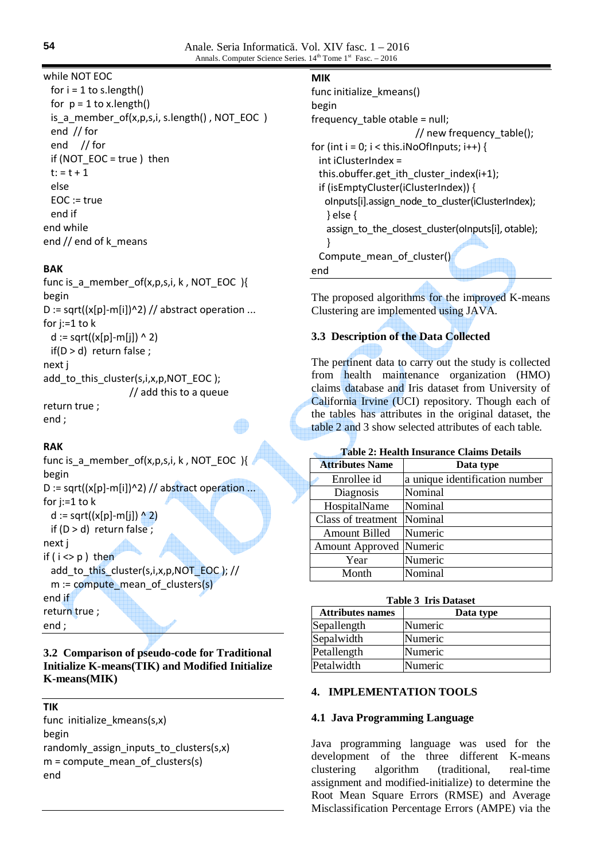# while NOT EOC

for  $i = 1$  to s. length() for  $p = 1$  to x.length() is a member of(x,p,s,i, s.length(), NOT EOC ) end // for end // for if (NOT EOC = true ) then  $t: = t + 1$  else EOC := true end if end while end // end of k\_means

# **BAK**

func is  $a$  member of(x,p,s,i, k, NOT EOC ){ begin D := sqrt( $(x[p]-m[i])^2$ ) // abstract operation ... for j:=1 to k d := sqrt((x[p]-m[j]) ^ 2) if(D > d) return false ; next j add\_to\_this\_cluster(s,i,x,p,NOT\_EOC ); // add this to a queue return true ; end ;

# **RAK**

func is\_a\_member\_of(x,p,s,i, k , NOT\_EOC ){ begin D := sqrt( $(x[p]-m[i])^2$ ) // abstract operation ... for j:=1 to k d := sqrt((x[p]-m[j])  $^{\wedge}2$ ) if  $(D > d)$  return false; next j if  $(i < p)$  then add\_to\_this\_cluster(s,i,x,p,NOT\_EOC ); // m := compute\_mean\_of\_clusters(s) end if return true ; end ;

# **3.2 Comparison of pseudo-code for Traditional Initialize K-means(TIK) and Modified Initialize K-means(MIK)**

# **TIK**

func initialize\_kmeans(s,x) begin randomly assign inputs to clusters(s,x)  $m =$  compute mean of clusters(s) end

# **MIK**

| func initialize kmeans()<br>begin                      |
|--------------------------------------------------------|
| frequency table otable = null;                         |
| // new frequency table();                              |
| for (int $i = 0$ ; $i <$ this. iNoOf Inputs; $i++$ ) { |
| int iClusterIndex =                                    |
| this.obuffer.get ith cluster index $(i+1)$ ;           |
| if (isEmptyCluster(iClusterIndex)) {                   |
| olnputs[i].assign node to cluster(iClusterIndex);      |
| $\}$ else $\{$                                         |
| assign to the closest cluster(olnputs[i], otable);     |
| ł                                                      |
| Compute mean of cluster()                              |
| end                                                    |

The proposed algorithms for the improved K-means Clustering are implemented using JAVA.

# **3.3 Description of the Data Collected**

The pertinent data to carry out the study is collected from health maintenance organization (HMO) claims database and Iris dataset from University of California Irvine (UCI) repository. Though each of the tables has attributes in the original dataset, the table 2 and 3 show selected attributes of each table.

## **Table 2: Health Insurance Claims Details**

| <b>Attributes Name</b> | Data type                      |
|------------------------|--------------------------------|
| Enrollee id            | a unique identification number |
| Diagnosis              | Nominal                        |
| HospitalName           | Nominal                        |
| Class of treatment     | Nominal                        |
| Amount Billed          | Numeric                        |
| <b>Amount Approved</b> | Numeric                        |
| Year                   | Numeric                        |
| Month                  | Nominal                        |

### **Table 3 Iris Dataset**

| <b>Attributes names</b> | Data type |  |  |
|-------------------------|-----------|--|--|
| Sepallength             | Numeric   |  |  |
| Sepalwidth              | Numeric   |  |  |
| Petallength             | Numeric   |  |  |
| Petalwidth              | Numeric   |  |  |

## **4. IMPLEMENTATION TOOLS**

#### **4.1 Java Programming Language**

Java programming language was used for the development of the three different K-means clustering algorithm (traditional, real-time assignment and modified-initialize) to determine the Root Mean Square Errors (RMSE) and Average Misclassification Percentage Errors (AMPE) via the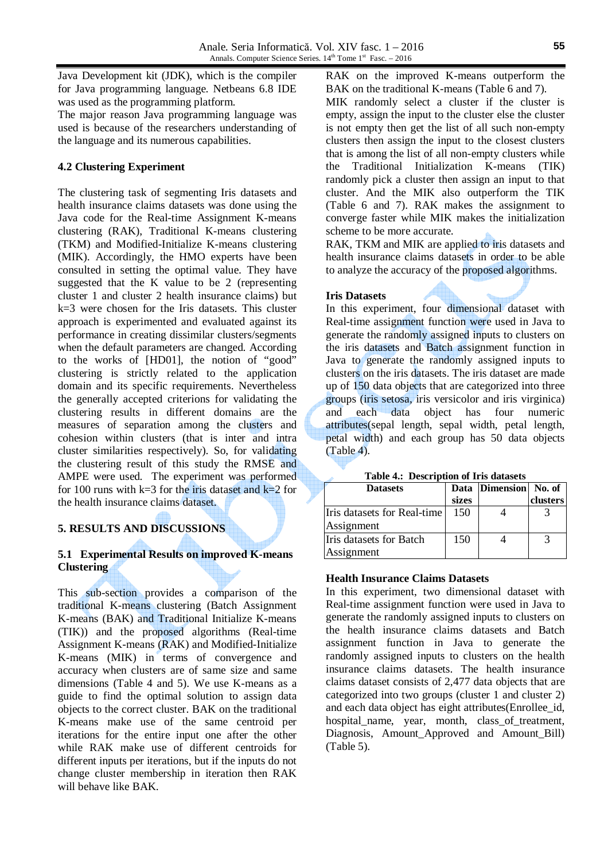Java Development kit (JDK), which is the compiler for Java programming language. Netbeans 6.8 IDE was used as the programming platform.

The major reason Java programming language was used is because of the researchers understanding of the language and its numerous capabilities.

# **4.2 Clustering Experiment**

The clustering task of segmenting Iris datasets and health insurance claims datasets was done using the Java code for the Real-time Assignment K-means clustering (RAK), Traditional K-means clustering (TKM) and Modified-Initialize K-means clustering (MIK). Accordingly, the HMO experts have been consulted in setting the optimal value. They have suggested that the K value to be 2 (representing cluster 1 and cluster 2 health insurance claims) but k=3 were chosen for the Iris datasets. This cluster approach is experimented and evaluated against its performance in creating dissimilar clusters/segments when the default parameters are changed. According to the works of [HD01], the notion of "good" clustering is strictly related to the application domain and its specific requirements. Nevertheless the generally accepted criterions for validating the clustering results in different domains are the measures of separation among the clusters and cohesion within clusters (that is inter and intra cluster similarities respectively). So, for validating the clustering result of this study the RMSE and AMPE were used. The experiment was performed for 100 runs with k=3 for the iris dataset and k=2 for the health insurance claims dataset.

# **5. RESULTS AND DISCUSSIONS**

# **5.1 Experimental Results on improved K-means Clustering**

This sub-section provides a comparison of the traditional K-means clustering (Batch Assignment K-means (BAK) and Traditional Initialize K-means (TIK)) and the proposed algorithms (Real-time Assignment K-means (RAK) and Modified-Initialize K-means (MIK) in terms of convergence and accuracy when clusters are of same size and same dimensions (Table 4 and 5). We use K-means as a guide to find the optimal solution to assign data objects to the correct cluster. BAK on the traditional K-means make use of the same centroid per iterations for the entire input one after the other while RAK make use of different centroids for different inputs per iterations, but if the inputs do not change cluster membership in iteration then RAK will behave like BAK.

RAK on the improved K-means outperform the BAK on the traditional K-means (Table 6 and 7).

MIK randomly select a cluster if the cluster is empty, assign the input to the cluster else the cluster is not empty then get the list of all such non-empty clusters then assign the input to the closest clusters that is among the list of all non-empty clusters while the Traditional Initialization K-means (TIK) randomly pick a cluster then assign an input to that cluster. And the MIK also outperform the TIK (Table 6 and 7). RAK makes the assignment to converge faster while MIK makes the initialization scheme to be more accurate.

RAK, TKM and MIK are applied to iris datasets and health insurance claims datasets in order to be able to analyze the accuracy of the proposed algorithms.

### **Iris Datasets**

In this experiment, four dimensional dataset with Real-time assignment function were used in Java to generate the randomly assigned inputs to clusters on the iris datasets and Batch assignment function in Java to generate the randomly assigned inputs to clusters on the iris datasets. The iris dataset are made up of 150 data objects that are categorized into three groups (iris setosa, iris versicolor and iris virginica) and each data object has four numeric attributes(sepal length, sepal width, petal length, petal width) and each group has 50 data objects (Table 4).

|  | Table 4.: Description of Iris datasets |  |  |
|--|----------------------------------------|--|--|
|--|----------------------------------------|--|--|

| <b>Datasets</b>             |       | Data Dimension No. of |          |
|-----------------------------|-------|-----------------------|----------|
|                             | sizes |                       | clusters |
| Iris datasets for Real-time | 150   |                       |          |
| Assignment                  |       |                       |          |
| IIris datasets for Batch    | 150   |                       |          |
| Assignment                  |       |                       |          |

## **Health Insurance Claims Datasets**

In this experiment, two dimensional dataset with Real-time assignment function were used in Java to generate the randomly assigned inputs to clusters on the health insurance claims datasets and Batch assignment function in Java to generate the randomly assigned inputs to clusters on the health insurance claims datasets. The health insurance claims dataset consists of 2,477 data objects that are categorized into two groups (cluster 1 and cluster 2) and each data object has eight attributes(Enrollee\_id, hospital name, year, month, class of treatment, Diagnosis, Amount Approved and Amount Bill) (Table 5).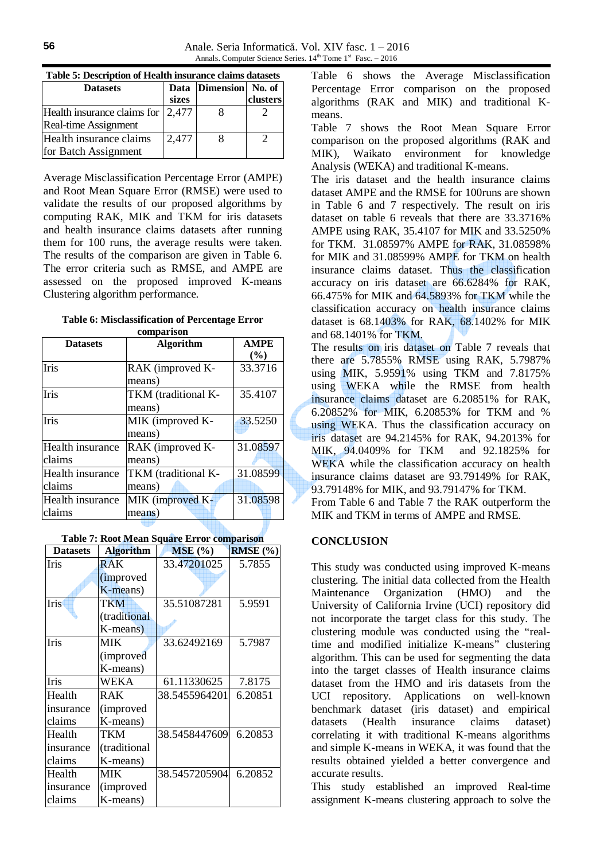| Table 9. Description of freaturinsurance claims datasets |       |                       |          |  |
|----------------------------------------------------------|-------|-----------------------|----------|--|
| <b>Datasets</b>                                          |       | Data Dimension No. of |          |  |
|                                                          | sizes |                       | clusters |  |
| Health insurance claims for $\vert 2,477 \vert$          |       |                       |          |  |
| Real-time Assignment                                     |       |                       |          |  |
| Health insurance claims                                  | 2,477 |                       |          |  |
| for Batch Assignment                                     |       |                       |          |  |

**Table 5: Description of Health insurance claims datasets** 

Average Misclassification Percentage Error (AMPE) and Root Mean Square Error (RMSE) were used to validate the results of our proposed algorithms by computing RAK, MIK and TKM for iris datasets and health insurance claims datasets after running them for 100 runs, the average results were taken. The results of the comparison are given in Table 6. The error criteria such as RMSE, and AMPE are assessed on the proposed improved K-means Clustering algorithm performance.

**Table 6: Misclassification of Percentage Error comparison** 

|                  | Comparison          |             |
|------------------|---------------------|-------------|
| <b>Datasets</b>  | <b>Algorithm</b>    | <b>AMPE</b> |
|                  |                     | (%)         |
| <b>Iris</b>      | RAK (improved K-    | 33.3716     |
|                  | means)              |             |
| Iris             | TKM (traditional K- | 35.4107     |
|                  | means)              |             |
| Iris             | MIK (improved K-    | 33.5250     |
|                  | means)              |             |
| Health insurance | RAK (improved K-    | 31.08597    |
| claims           | means)              |             |
| Health insurance | TKM (traditional K- | 31.08599    |
| claims           | means)              |             |
| Health insurance | MIK (improved K-    | 31.08598    |
| claims           | means)              |             |

| <b>Datasets</b> | <b>Algorithm</b>  | MSE(%)        | RMSE (%) |
|-----------------|-------------------|---------------|----------|
| <b>Iris</b>     | <b>RAK</b>        | 33.47201025   | 5.7855   |
|                 | <i>(improved)</i> |               |          |
|                 | K-means)          |               |          |
| Iris            | <b>TKM</b>        | 35.51087281   | 5.9591   |
|                 | (traditional      |               |          |
|                 | K-means)          |               |          |
| Iris            | <b>MIK</b>        | 33.62492169   | 5.7987   |
|                 | <i>(improved)</i> |               |          |
|                 | K-means)          |               |          |
| Iris            | WEKA              | 61.11330625   | 7.8175   |
| Health          | R A K             | 38.5455964201 | 6.20851  |
| insurance       | <i>(improved)</i> |               |          |
| claims          | K-means)          |               |          |
| Health          | TKM               | 38.5458447609 | 6.20853  |
| insurance       | (traditional      |               |          |
| claims          | K-means)          |               |          |
| Health          | MIK               | 38.5457205904 | 6.20852  |
| insurance       | (improved         |               |          |
| claims          | K-means)          |               |          |

Table 6 shows the Average Misclassification Percentage Error comparison on the proposed algorithms (RAK and MIK) and traditional Kmeans.

Table 7 shows the Root Mean Square Error comparison on the proposed algorithms (RAK and MIK), Waikato environment for knowledge Analysis (WEKA) and traditional K-means.

The iris dataset and the health insurance claims dataset AMPE and the RMSE for 100runs are shown in Table 6 and 7 respectively. The result on iris dataset on table 6 reveals that there are 33.3716% AMPE using RAK, 35.4107 for MIK and 33.5250% for TKM. 31.08597% AMPE for RAK, 31.08598% for MIK and 31.08599% AMPE for TKM on health insurance claims dataset. Thus the classification accuracy on iris dataset are 66.6284% for RAK, 66.475% for MIK and 64.5893% for TKM while the classification accuracy on health insurance claims dataset is 68.1403% for RAK, 68.1402% for MIK and 68.1401% for TKM.

The results on iris dataset on Table 7 reveals that there are 5.7855% RMSE using RAK, 5.7987% using MIK, 5.9591% using TKM and 7.8175% using WEKA while the RMSE from health insurance claims dataset are 6.20851% for RAK, 6.20852% for MIK, 6.20853% for TKM and % using WEKA. Thus the classification accuracy on iris dataset are 94.2145% for RAK, 94.2013% for MIK, 94.0409% for TKM and 92.1825% for WEKA while the classification accuracy on health insurance claims dataset are 93.79149% for RAK, 93.79148% for MIK, and 93.79147% for TKM.

From Table 6 and Table 7 the RAK outperform the MIK and TKM in terms of AMPE and RMSE.

## **CONCLUSION**

This study was conducted using improved K-means clustering. The initial data collected from the Health Maintenance Organization (HMO) and the University of California Irvine (UCI) repository did not incorporate the target class for this study. The clustering module was conducted using the "realtime and modified initialize K-means" clustering algorithm. This can be used for segmenting the data into the target classes of Health insurance claims dataset from the HMO and iris datasets from the UCI repository. Applications on well-known benchmark dataset (iris dataset) and empirical datasets (Health insurance claims dataset) correlating it with traditional K-means algorithms and simple K-means in WEKA, it was found that the results obtained yielded a better convergence and accurate results.

This study established an improved Real-time assignment K-means clustering approach to solve the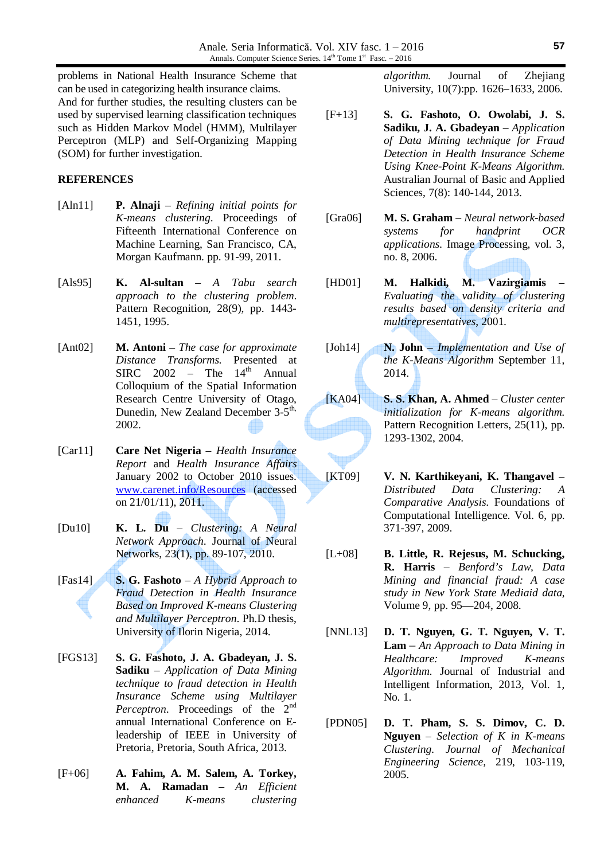problems in National Health Insurance Scheme that can be used in categorizing health insurance claims. And for further studies, the resulting clusters can be used by supervised learning classification techniques such as Hidden Markov Model (HMM), Multilayer Perceptron (MLP) and Self-Organizing Mapping (SOM) for further investigation.

## **REFERENCES**

- [Aln11] **P. Alnaji** *Refining initial points for K-means clustering*. Proceedings of Fifteenth International Conference on Machine Learning, San Francisco, CA, Morgan Kaufmann. pp. 91-99, 2011.
- [Als95] **K. Al-sultan** *A Tabu search approach to the clustering problem*. Pattern Recognition, 28(9), pp. 1443- 1451, 1995.
- [Ant02] **M. Antoni** *The case for approximate Distance Transforms.* Presented at  $SIRC$  2002 – The  $14<sup>th</sup>$  Annual Colloquium of the Spatial Information Research Centre University of Otago, Dunedin, New Zealand December 3-5<sup>th,</sup> 2002.
- [Car11] **Care Net Nigeria**  *Health Insurance Report* and *Health Insurance Affairs* January 2002 to October 2010 issues. www.carenet.info/Resources (accessed on 21/01/11), 2011.
- [Du10] **K. L. Du**  *Clustering: A Neural Network Approach*. Journal of Neural Networks, 23(1), pp. 89-107, 2010.
- [Fas14] **S. G. Fashoto** *A Hybrid Approach to Fraud Detection in Health Insurance Based on Improved K-means Clustering and Multilayer Perceptron*. Ph.D thesis, University of Ilorin Nigeria, 2014.
- [FGS13] **S. G. Fashoto, J. A. Gbadeyan, J. S. Sadiku** – *Application of Data Mining technique to fraud detection in Health Insurance Scheme using Multilayer Perceptron*. Proceedings of the 2<sup>nd</sup> annual International Conference on Eleadership of IEEE in University of Pretoria, Pretoria, South Africa, 2013.
- [F+06] **A. Fahim, A. M. Salem, A. Torkey, M. A. Ramadan** – *An Efficient enhanced K-means clustering*

*algorithm.* Journal of Zhejiang University, 10(7):pp. 1626–1633, 2006.

- [F+13] **S. G. Fashoto, O. Owolabi, J. S. Sadiku, J. A. Gbadeyan** – *Application of Data Mining technique for Fraud Detection in Health Insurance Scheme Using Knee-Point K-Means Algorithm.* Australian Journal of Basic and Applied Sciences, 7(8): 140-144, 2013.
- [Gra06] **M. S. Graham** *Neural network-based systems for handprint OCR applications*. Image Processing, vol. 3, no. 8, 2006.
- [HD01] **M. Halkidi, M. Vazirgiamis**  *Evaluating the validity of clustering results based on density criteria and multirepresentatives*, 2001.
- [Joh14] **N. John** *Implementation and Use of the K-Means Algorithm* September 11, 2014.
- [KA04] **S. S. Khan, A. Ahmed**  *Cluster center initialization for K-means algorithm.* Pattern Recognition Letters, 25(11), pp. 1293-1302, 2004.
- [KT09] **V. N. Karthikeyani, K. Thangavel** *Distributed Data Clustering: A Comparative Analysis*. Foundations of Computational Intelligence. Vol. 6, pp. 371-397, 2009.
- [L+08] **B. Little, R. Rejesus, M. Schucking, R. Harris** – *Benford's Law, Data Mining and financial fraud: A case study in New York State Mediaid data*, Volume 9, pp. 95—204, 2008.
- [NNL13] **D. T. Nguyen, G. T. Nguyen, V. T. Lam** – *An Approach to Data Mining in Healthcare: Improved K-means Algorithm*. Journal of Industrial and Intelligent Information, 2013, Vol. 1, No. 1.
- [PDN05] **D. T. Pham, S. S. Dimov, C. D. Nguyen** – *Selection of K in K-means Clustering*. *Journal of Mechanical Engineering Science,* 219, 103-119, 2005.